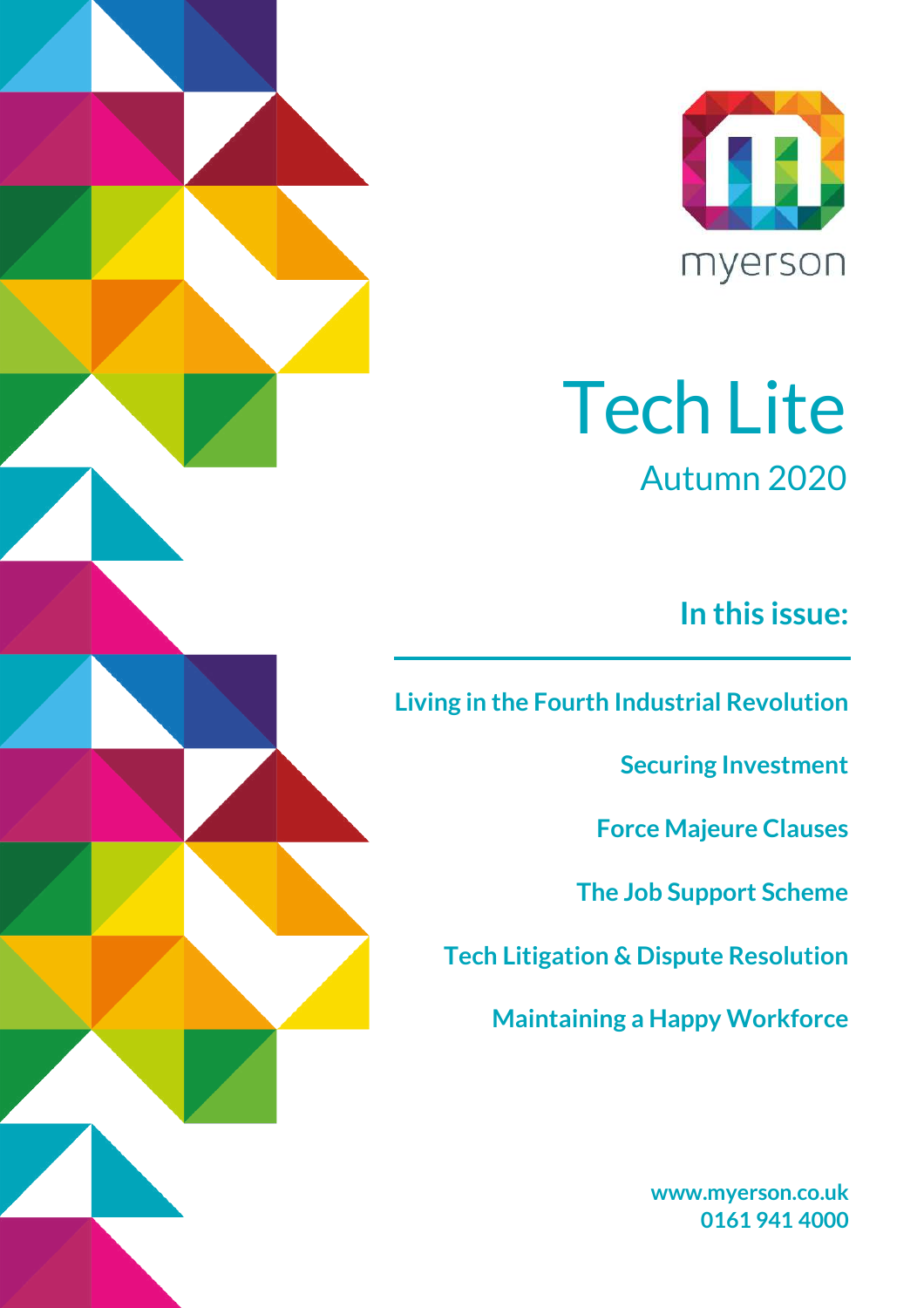

# Tech Lite Autumn 2020

**In this issue:**

**[Living in the Fourth Industrial Revolution](#page-2-0)**

**[Securing Investment](#page-5-0)**

**[Force Majeure Clauses](#page-6-0)**

**[The Job Support Scheme](#page-9-0)**

**Tech Litigation & [Dispute Resolution](#page-12-0)** 

**Maintaining [a Happy Workforce](#page-16-0)**

**[www.myerson.co.uk](http://www.myerson.co.uk/) 0161 941 4000**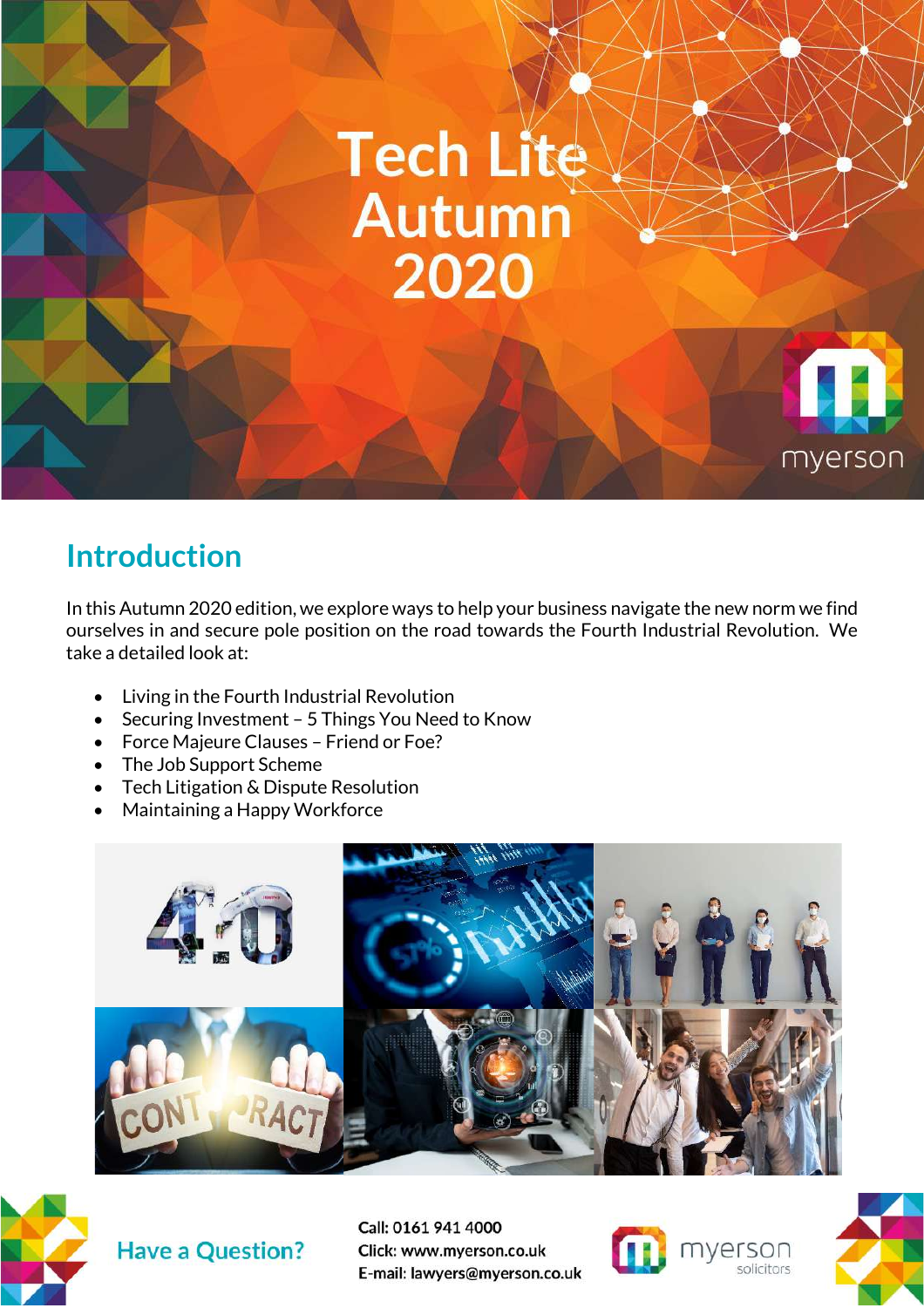

## **Introduction**

In this Autumn 2020 edition, we explore ways to help your business navigate the new norm we find ourselves in and secure pole position on the road towards the Fourth Industrial Revolution. We take a detailed look at:

- Living in the Fourth Industrial Revolution
- Securing Investment 5 Things You Need to Know
- Force Majeure Clauses Friend or Foe?
- The Job Support Scheme
- Tech Litigation & Dispute Resolution
- Maintaining a Happy Workforce





**Have a Question?** 



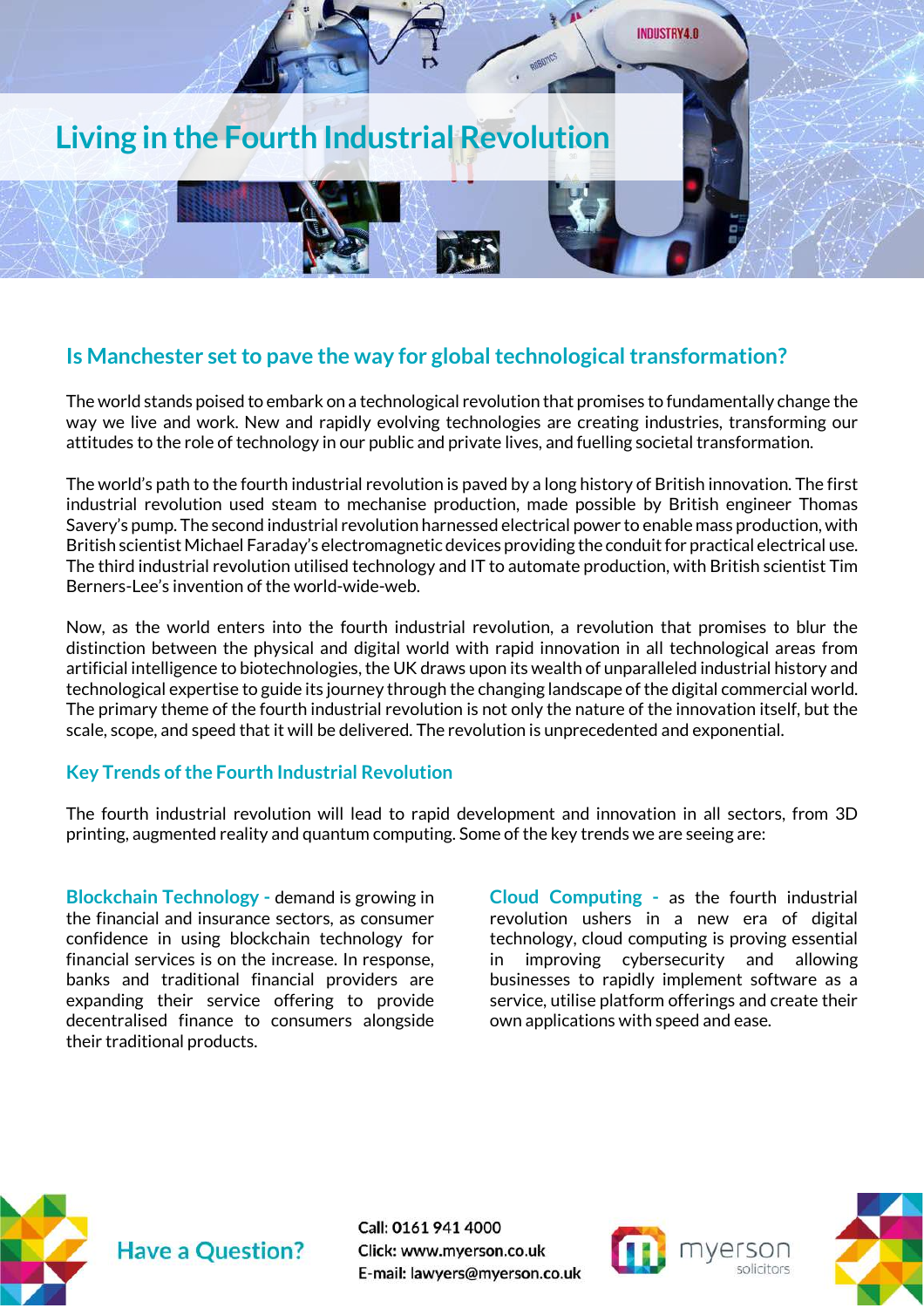

#### <span id="page-2-0"></span>**Is Manchester set to pave the way for global technological transformation?**

The world stands poised to embark on a technological revolution that promises to fundamentally change the way we live and work. New and rapidly evolving technologies are creating industries, transforming our attitudes to the role of technology in our public and private lives, and fuelling societal transformation.

The world's path to the fourth industrial revolution is paved by a long history of British innovation. The first industrial revolution used steam to mechanise production, made possible by British engineer Thomas Savery's pump. The second industrial revolution harnessed electrical power to enable mass production, with British scientist Michael Faraday's electromagnetic devices providing the conduit for practical electrical use. The third industrial revolution utilised technology and IT to automate production, with British scientist Tim Berners-Lee's invention of the world-wide-web.

Now, as the world enters into the fourth industrial revolution, a revolution that promises to blur the distinction between the physical and digital world with rapid innovation in all technological areas from artificial intelligence to biotechnologies, the UK draws upon its wealth of unparalleled industrial history and technological expertise to guide its journey through the changing landscape of the digital commercial world. The primary theme of the fourth industrial revolution is not only the nature of the innovation itself, but the scale, scope, and speed that it will be delivered. The revolution is unprecedented and exponential.

#### **Key Trends of the Fourth Industrial Revolution**

The fourth industrial revolution will lead to rapid development and innovation in all sectors, from 3D printing, augmented reality and quantum computing. Some of the key trends we are seeing are:

**Blockchain Technology -** demand is growing in the financial and insurance sectors, as consumer confidence in using blockchain technology for financial services is on the increase. In response, banks and traditional financial providers are expanding their service offering to provide decentralised finance to consumers alongside their traditional products.

**Cloud Computing -** as the fourth industrial revolution ushers in a new era of digital technology, cloud computing is proving essential in improving cybersecurity and allowing businesses to rapidly implement software as a service, utilise platform offerings and create their own applications with speed and ease.





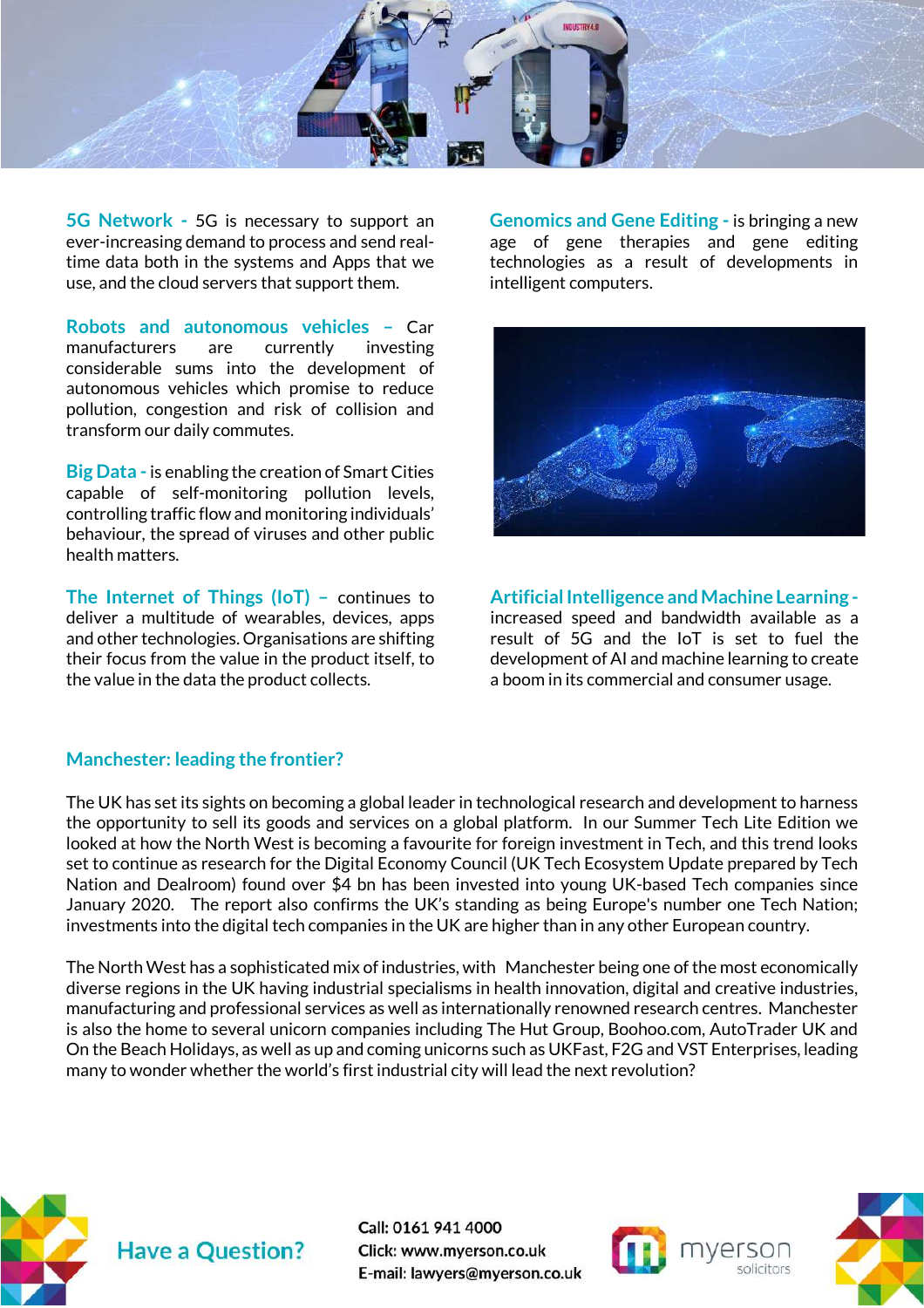

**5G Network -** 5G is necessary to support an ever-increasing demand to process and send realtime data both in the systems and Apps that we use, and the cloud servers that support them.

**Robots and autonomous vehicles –** Car manufacturers are currently investing considerable sums into the development of autonomous vehicles which promise to reduce pollution, congestion and risk of collision and transform our daily commutes.

**Big Data** - is enabling the creation of Smart Cities capable of self-monitoring pollution levels, controlling traffic flow and monitoring individuals' behaviour, the spread of viruses and other public health matters.

**The Internet of Things (IoT) –** continues to deliver a multitude of wearables, devices, apps and other technologies. Organisations are shifting their focus from the value in the product itself, to the value in the data the product collects.

**Genomics and Gene Editing -** is bringing a new age of gene therapies and gene editing technologies as a result of developments in intelligent computers.



**Artificial Intelligence and Machine Learning**  increased speed and bandwidth available as a result of 5G and the IoT is set to fuel the development of AI and machine learning to create a boom in its commercial and consumer usage.

#### **Manchester: leading the frontier?**

The UK has set its sights on becoming a global leader in technological research and development to harness the opportunity to sell its goods and services on a global platform. In our Summer Tech Lite Edition we looked at how the North West is becoming a favourite for foreign investment in Tech, and this trend looks set to continue as research for the Digital Economy Council (UK Tech Ecosystem Update prepared by Tech Nation and Dealroom) found over \$4 bn has been invested into young UK-based Tech companies since January 2020. The report also confirms the UK's standing as being Europe's number one Tech Nation; investments into the digital tech companies in the UK are higher than in any other European country.

The North West has a sophisticated mix of industries, with Manchester being one of the most economically diverse regions in the UK having industrial specialisms in health innovation, digital and creative industries, manufacturing and professional services as well as internationally renowned research centres. Manchester is also the home to several unicorn companies including The Hut Group, Boohoo.com, AutoTrader UK and On the Beach Holidays, as well as up and coming unicorns such as UKFast, F2G and VST Enterprises, leading many to wonder whether the world's first industrial city will lead the next revolution?





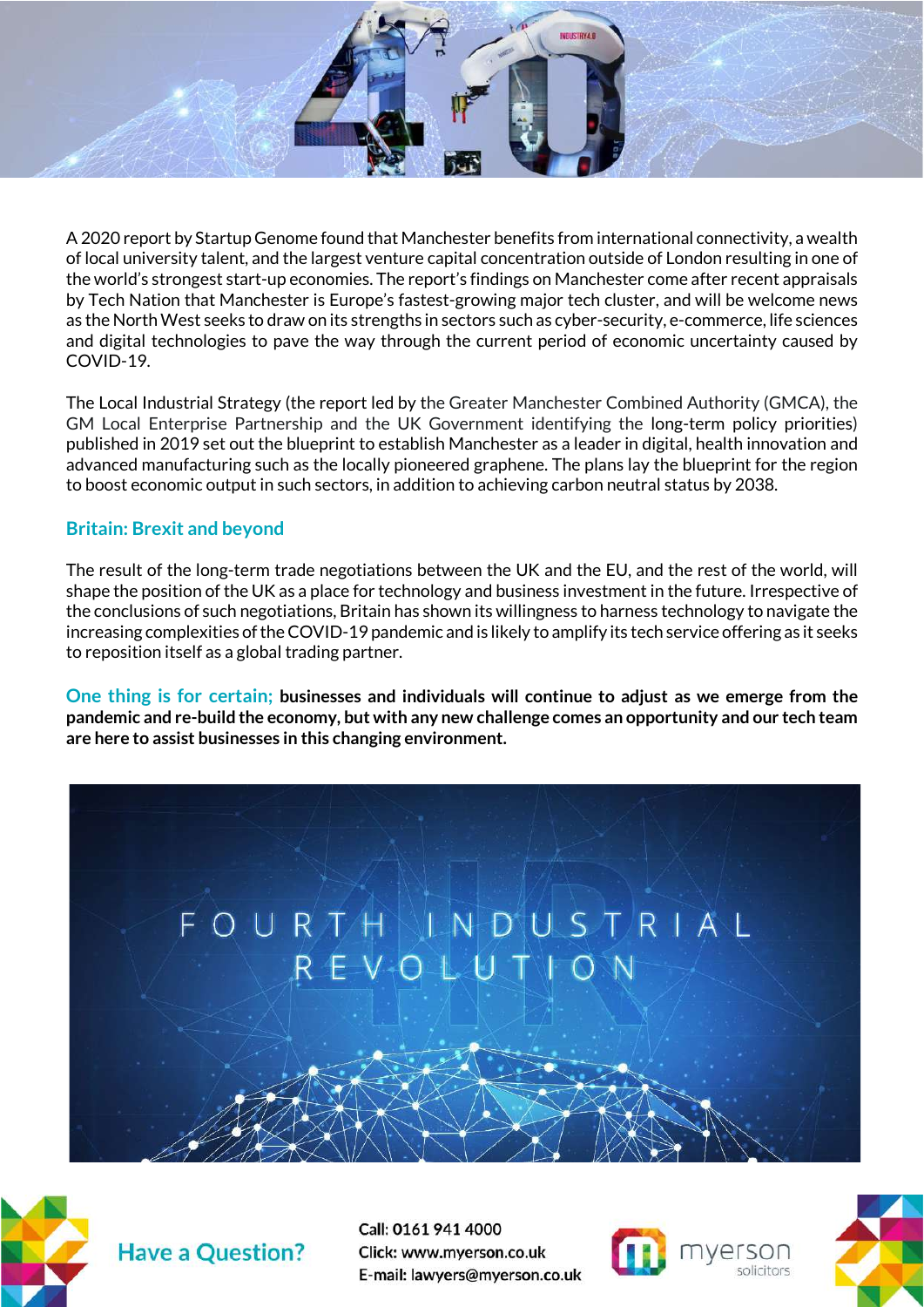

A 2020 report by Startup Genome found that Manchester benefits from international connectivity, a wealth of local university talent, and the largest venture capital concentration outside of London resulting in one of the world's strongest start-up economies. The report's findings on Manchester come after recent appraisals by Tech Nation that Manchester is Europe's fastest-growing major tech cluster, and will be welcome news as the North West seeks to draw on its strengths in sectors such as cyber-security, e-commerce, life sciences and digital technologies to pave the way through the current period of economic uncertainty caused by COVID-19.

The Local Industrial Strategy (the report led by the Greater Manchester Combined Authority (GMCA), the GM Local Enterprise Partnership and the UK Government identifying the long-term policy priorities) published in 2019 set out the blueprint to establish Manchester as a leader in digital, health innovation and advanced manufacturing such as the locally pioneered graphene. The plans lay the blueprint for the region to boost economic output in such sectors, in addition to achieving carbon neutral status by 2038.

#### **Britain: Brexit and beyond**

The result of the long-term trade negotiations between the UK and the EU, and the rest of the world, will shape the position of the UK as a place for technology and business investment in the future. Irrespective of the conclusions of such negotiations, Britain has shown its willingness to harness technology to navigate the increasing complexities of the COVID-19 pandemic and is likely to amplify its tech service offering as it seeks to reposition itself as a global trading partner.

**One thing is for certain; businesses and individuals will continue to adjust as we emerge from the pandemic and re-build the economy, but with any new challenge comes an opportunity and our tech team are here to assist businesses in this changing environment.**





**Have a Question?** 



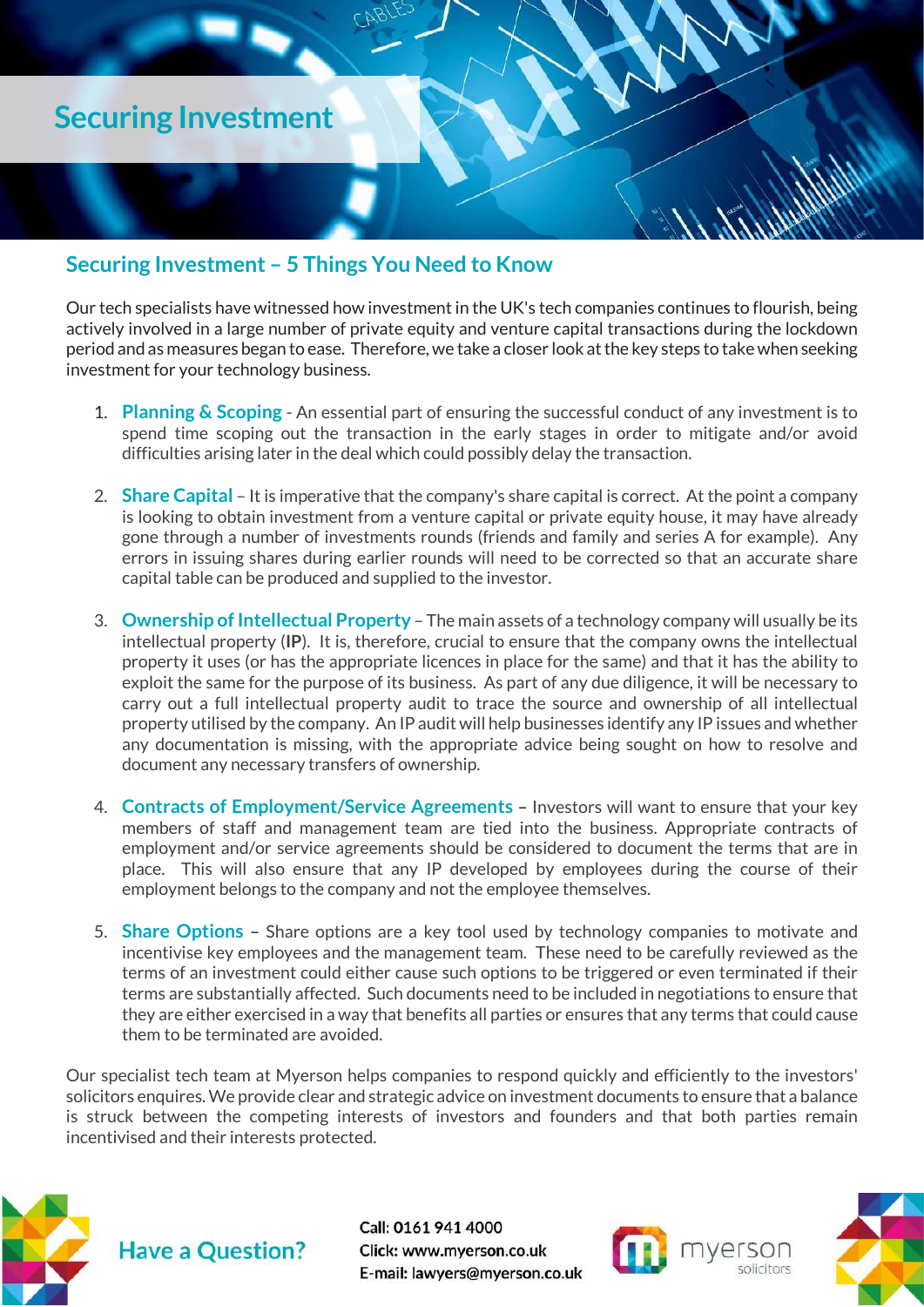

#### <span id="page-5-0"></span>**Securing Investment – 5 Things You Need to Know**

Our tech specialists have witnessed how investment in the UK's tech companies continues to flourish, being actively involved in a large number of private equity and venture capital transactions during the lockdown period and as measures began to ease. Therefore, we take a closer look at the key steps to take when seeking investment for your technology business.

- 1. **Planning & Scoping** An essential part of ensuring the successful conduct of any investment is to spend time scoping out the transaction in the early stages in order to mitigate and/or avoid difficulties arising later in the deal which could possibly delay the transaction.
- 2. **Share Capital** It is imperative that the company's share capital is correct. At the point a company is looking to obtain investment from a venture capital or private equity house, it may have already gone through a number of investments rounds (friends and family and series A for example). Any errors in issuing shares during earlier rounds will need to be corrected so that an accurate share capital table can be produced and supplied to the investor.
- 3. **Ownership of Intellectual Property** The main assets of a technology company will usually be its intellectual property (**IP**). It is, therefore, crucial to ensure that the company owns the intellectual property it uses (or has the appropriate licences in place for the same) and that it has the ability to exploit the same for the purpose of its business. As part of any due diligence, it will be necessary to carry out a full intellectual property audit to trace the source and ownership of all intellectual property utilised by the company. An IP audit will help businesses identify any IP issues and whether any documentation is missing, with the appropriate advice being sought on how to resolve and document any necessary transfers of ownership.
- 4. **Contracts of Employment/Service Agreements –** Investors will want to ensure that your key members of staff and management team are tied into the business. Appropriate contracts of employment and/or service agreements should be considered to document the terms that are in place. This will also ensure that any IP developed by employees during the course of their employment belongs to the company and not the employee themselves.
- 5. **Share Options –** Share options are a key tool used by technology companies to motivate and incentivise key employees and the management team. These need to be carefully reviewed as the terms of an investment could either cause such options to be triggered or even terminated if their terms are substantially affected. Such documents need to be included in negotiations to ensure that they are either exercised in a way that benefits all parties or ensures that any terms that could cause them to be terminated are avoided.

Our specialist tech team at Myerson helps companies to respond quickly and efficiently to the investors' solicitors enquires. We provide clear and strategic advice on investment documents to ensure that a balance is struck between the competing interests of investors and founders and that both parties remain incentivised and their interests protected.





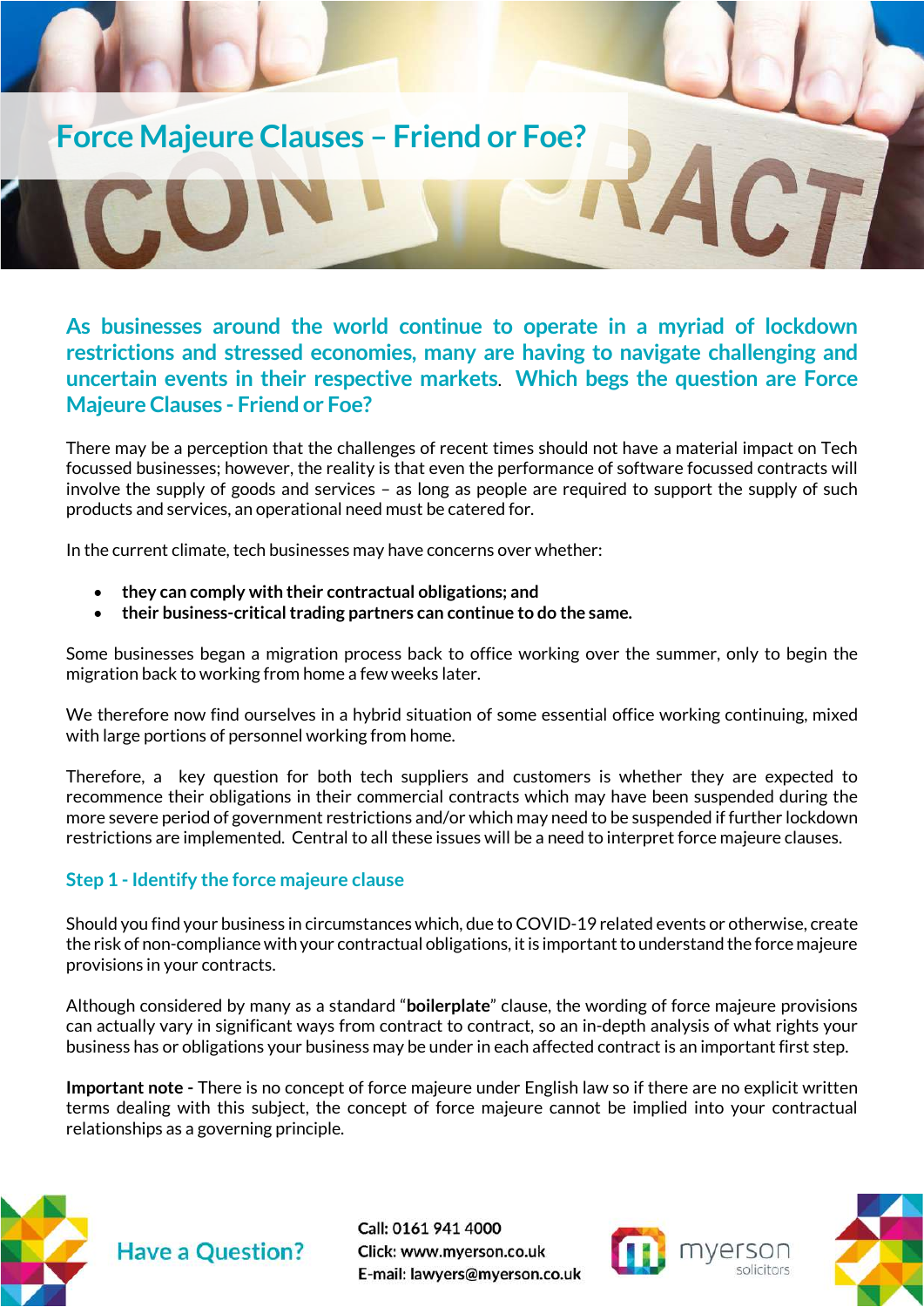### **Force Majeure Clauses – Friend or Foe?**

<span id="page-6-0"></span>**As businesses around the world continue to operate in a myriad of lockdown restrictions and stressed economies, many are having to navigate challenging and uncertain events in their respective markets**. **Which begs the question are Force Majeure Clauses - Friend or Foe?**

There may be a perception that the challenges of recent times should not have a material impact on Tech focussed businesses; however, the reality is that even the performance of software focussed contracts will involve the supply of goods and services – as long as people are required to support the supply of such products and services, an operational need must be catered for.

In the current climate, tech businesses may have concerns over whether:

- **they can comply with their contractual obligations; and**
- **their business-critical trading partners can continue to do the same.**

Some businesses began a migration process back to office working over the summer, only to begin the migration back to working from home a few weeks later.

We therefore now find ourselves in a hybrid situation of some essential office working continuing, mixed with large portions of personnel working from home.

Therefore, a key question for both tech suppliers and customers is whether they are expected to recommence their obligations in their commercial contracts which may have been suspended during the more severe period of government restrictions and/or which may need to be suspended if further lockdown restrictions are implemented. Central to all these issues will be a need to interpret force majeure clauses.

#### **Step 1 - Identify the force majeure clause**

Should you find your business in circumstances which, due to COVID-19 related events or otherwise, create the risk of non-compliance with your contractual obligations, it is important to understand the force majeure provisions in your contracts.

Although considered by many as a standard "**boilerplate**" clause, the wording of force majeure provisions can actually vary in significant ways from contract to contract, so an in-depth analysis of what rights your business has or obligations your business may be under in each affected contract is an important first step.

**Important note -** There is no concept of force majeure under English law so if there are no explicit written terms dealing with this subject, the concept of force majeure cannot be implied into your contractual relationships as a governing principle.



Call: 0161 941 4000 Click: www.myerson.co.uk E-mail: lawyers@myerson.co.uk





CTI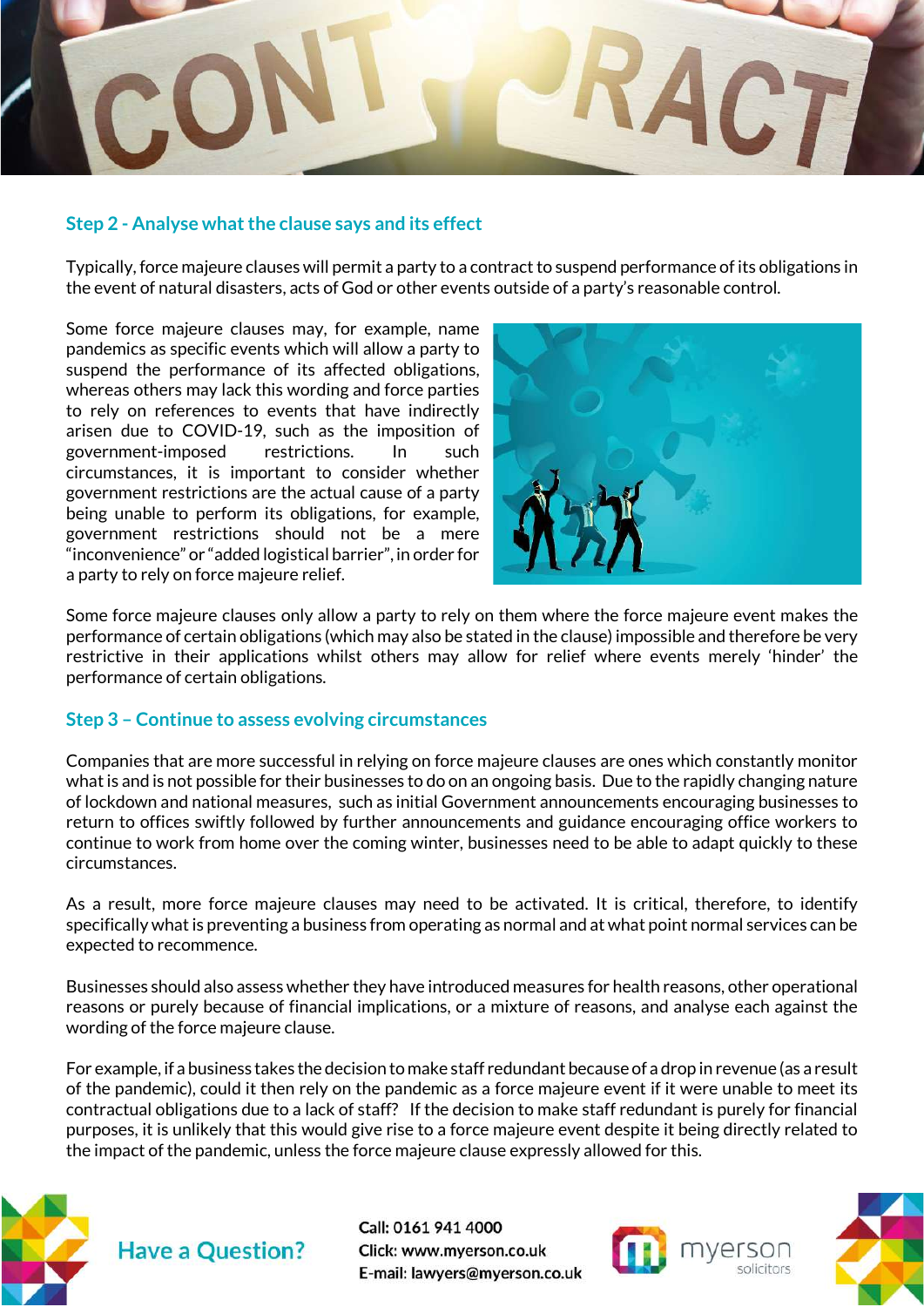

#### **Step 2 - Analyse what the clause says and its effect**

Typically, force majeure clauses will permit a party to a contract to suspend performance of its obligations in the event of natural disasters, acts of God or other events outside of a party's reasonable control.

Some force majeure clauses may, for example, name pandemics as specific events which will allow a party to suspend the performance of its affected obligations, whereas others may lack this wording and force parties to rely on references to events that have indirectly arisen due to COVID-19, such as the imposition of government-imposed restrictions. In such circumstances, it is important to consider whether government restrictions are the actual cause of a party being unable to perform its obligations, for example, government restrictions should not be a mere "inconvenience" or "added logistical barrier", in order for a party to rely on force majeure relief.



Some force majeure clauses only allow a party to rely on them where the force majeure event makes the performance of certain obligations (which may also be stated in the clause) impossible and therefore be very restrictive in their applications whilst others may allow for relief where events merely 'hinder' the performance of certain obligations.

#### **Step 3 – Continue to assess evolving circumstances**

Companies that are more successful in relying on force majeure clauses are ones which constantly monitor whatis and is not possible for their businesses to do on an ongoing basis. Due to the rapidly changing nature of lockdown and national measures, such as initial Government announcements encouraging businesses to return to offices swiftly followed by further announcements and guidance encouraging office workers to continue to work from home over the coming winter, businesses need to be able to adapt quickly to these circumstances.

As a result, more force majeure clauses may need to be activated. It is critical, therefore, to identify specifically what is preventing a business from operating as normal and at what point normal services can be expected to recommence.

Businesses should also assess whether they have introduced measures for health reasons, other operational reasons or purely because of financial implications, or a mixture of reasons, and analyse each against the wording of the force majeure clause.

For example, if a business takes the decision to make staff redundant because of a drop in revenue (as a result of the pandemic), could it then rely on the pandemic as a force majeure event if it were unable to meet its contractual obligations due to a lack of staff? If the decision to make staff redundant is purely for financial purposes, it is unlikely that this would give rise to a force majeure event despite it being directly related to the impact of the pandemic, unless the force majeure clause expressly allowed for this.





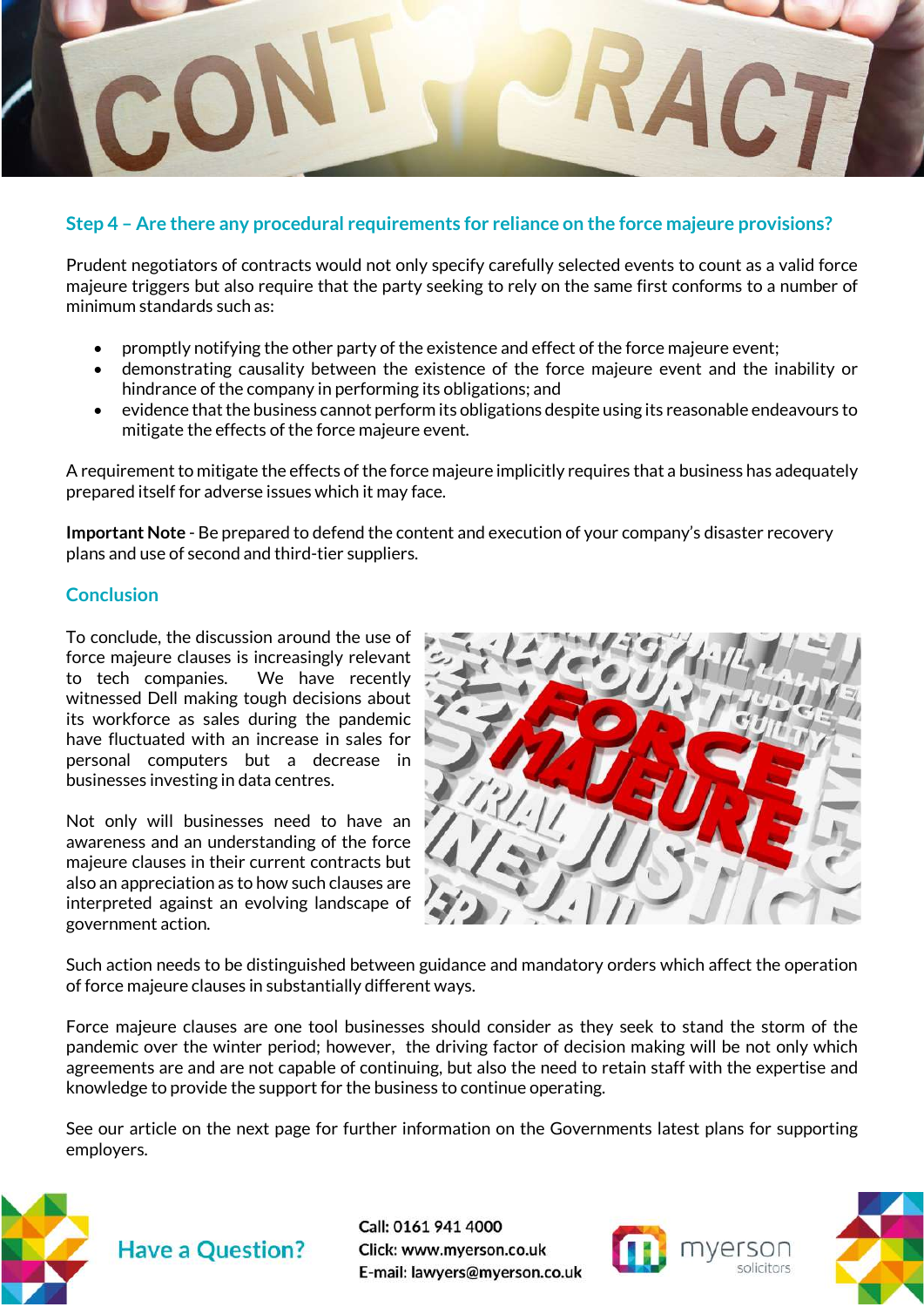

#### **Step 4 – Are there any procedural requirements for reliance on the force majeure provisions?**

Prudent negotiators of contracts would not only specify carefully selected events to count as a valid force majeure triggers but also require that the party seeking to rely on the same first conforms to a number of minimum standards such as:

- promptly notifying the other party of the existence and effect of the force majeure event;
- demonstrating causality between the existence of the force majeure event and the inability or hindrance of the company in performing its obligations; and
- evidence that the business cannot perform its obligations despite using its reasonable endeavours to mitigate the effects of the force majeure event.

A requirement to mitigate the effects of the force majeure implicitly requires that a business has adequately prepared itself for adverse issues which it may face.

**Important Note** - Be prepared to defend the content and execution of your company's disaster recovery plans and use of second and third-tier suppliers.

#### **Conclusion**

To conclude, the discussion around the use of force majeure clauses is increasingly relevant to tech companies. We have recently witnessed Dell making tough decisions about its workforce as sales during the pandemic have fluctuated with an increase in sales for personal computers but a decrease in businesses investing in data centres.

Not only will businesses need to have an awareness and an understanding of the force majeure clauses in their current contracts but also an appreciation as to how such clauses are interpreted against an evolving landscape of government action.



Such action needs to be distinguished between guidance and mandatory orders which affect the operation of force majeure clauses in substantially different ways.

Force majeure clauses are one tool businesses should consider as they seek to stand the storm of the pandemic over the winter period; however, the driving factor of decision making will be not only which agreements are and are not capable of continuing, but also the need to retain staff with the expertise and knowledge to provide the support for the business to continue operating.

See our article on the next page for further information on the Governments latest plans for supporting employers.





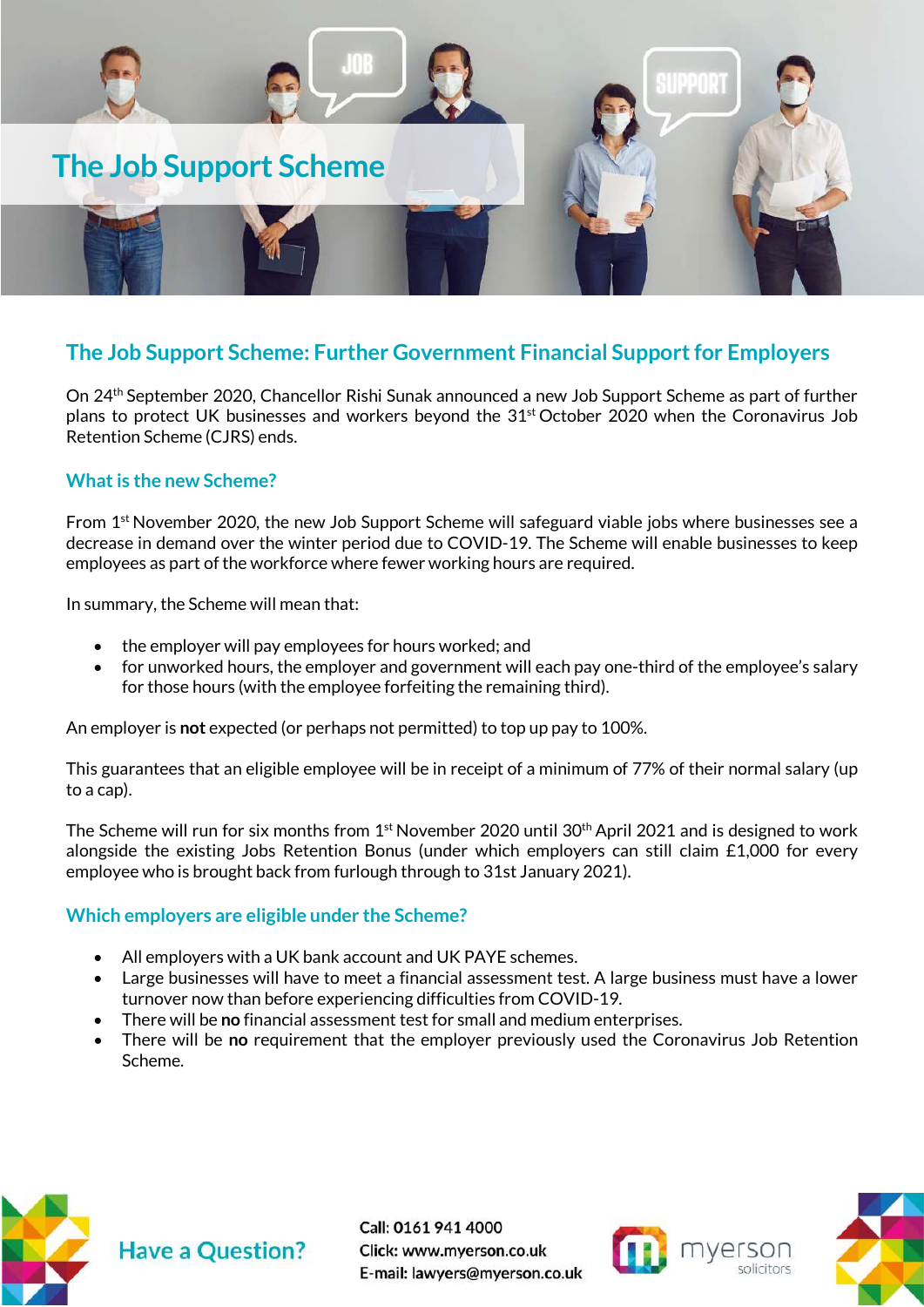

#### <span id="page-9-0"></span>**The Job Support Scheme: Further Government Financial Support for Employers**

On 24th September 2020, Chancellor Rishi Sunak announced a new Job Support Scheme as part of further plans to protect UK businesses and workers beyond the 31<sup>st</sup> October 2020 when the Coronavirus Job Retention Scheme (CJRS) ends.

#### **What is the new Scheme?**

From  $1<sup>st</sup>$  November 2020, the new Job Support Scheme will safeguard viable jobs where businesses see a decrease in demand over the winter period due to COVID-19. The Scheme will enable businesses to keep employees as part of the workforce where fewer working hours are required.

In summary, the Scheme will mean that:

- the employer will pay employees for hours worked; and
- for unworked hours, the employer and government will each pay one-third of the employee's salary for those hours (with the employee forfeiting the remaining third).

An employer is **not** expected (or perhaps not permitted) to top up pay to 100%.

This guarantees that an eligible employee will be in receipt of a minimum of 77% of their normal salary (up to a cap).

The Scheme will run for six months from  $1<sup>st</sup>$  November 2020 until 30<sup>th</sup> April 2021 and is designed to work alongside the existing Jobs Retention Bonus (under which employers can still claim £1,000 for every employee who is brought back from furlough through to 31st January 2021).

#### **Which employers are eligible under the Scheme?**

- All employers with a UK bank account and UK PAYE schemes.
- Large businesses will have to meet a financial assessment test. A large business must have a lower turnover now than before experiencing difficulties from COVID-19.
- There will be **no** financial assessment test for small and medium enterprises.
- There will be **no** requirement that the employer previously used the Coronavirus Job Retention Scheme.





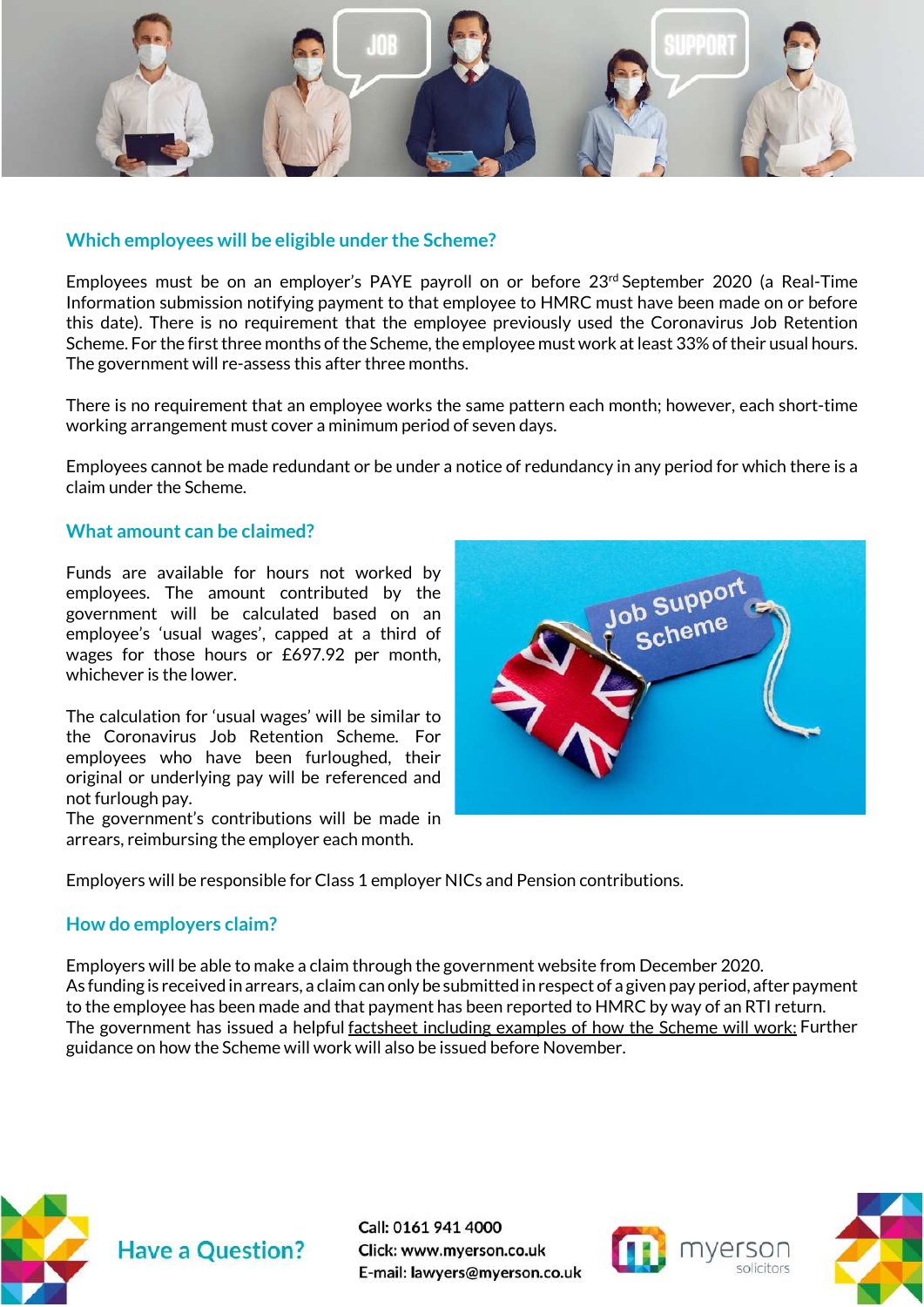

#### **Which employees will be eligible under the Scheme?**

Employees must be on an employer's PAYE payroll on or before 23rd September 2020 (a Real-Time Information submission notifying payment to that employee to HMRC must have been made on or before this date). There is no requirement that the employee previously used the Coronavirus Job Retention Scheme. For the first three months of the Scheme, the employee must work at least 33% of their usual hours. The government will re-assess this after three months.

There is no requirement that an employee works the same pattern each month; however, each short-time working arrangement must cover a minimum period of seven days.

Employees cannot be made redundant or be under a notice of redundancy in any period for which there is a claim under the Scheme.

#### **What amount can be claimed?**

Funds are available for hours not worked by employees. The amount contributed by the government will be calculated based on an employee's 'usual wages', capped at a third of wages for those hours or £697.92 per month, whichever is the lower.

The calculation for 'usual wages' will be similar to the Coronavirus Job Retention Scheme. For employees who have been furloughed, their original or underlying pay will be referenced and not furlough pay.

The government's contributions will be made in arrears, reimbursing the employer each month.



Employers will be responsible for Class 1 employer NICs and Pension contributions.

#### **How do employers claim?**

Employers will be able to make a claim through the government website from December 2020. As funding is received in arrears, a claim can only be submitted in respect of a given pay period, after payment to the employee has been made and that payment has been reported to HMRC by way of an RTI return. The government has issued a helpful [factsheet including examples of how the Scheme will work:](https://www.gov.uk/government/publications/job-support-scheme) Further guidance on how the Scheme will work will also be issued before November.





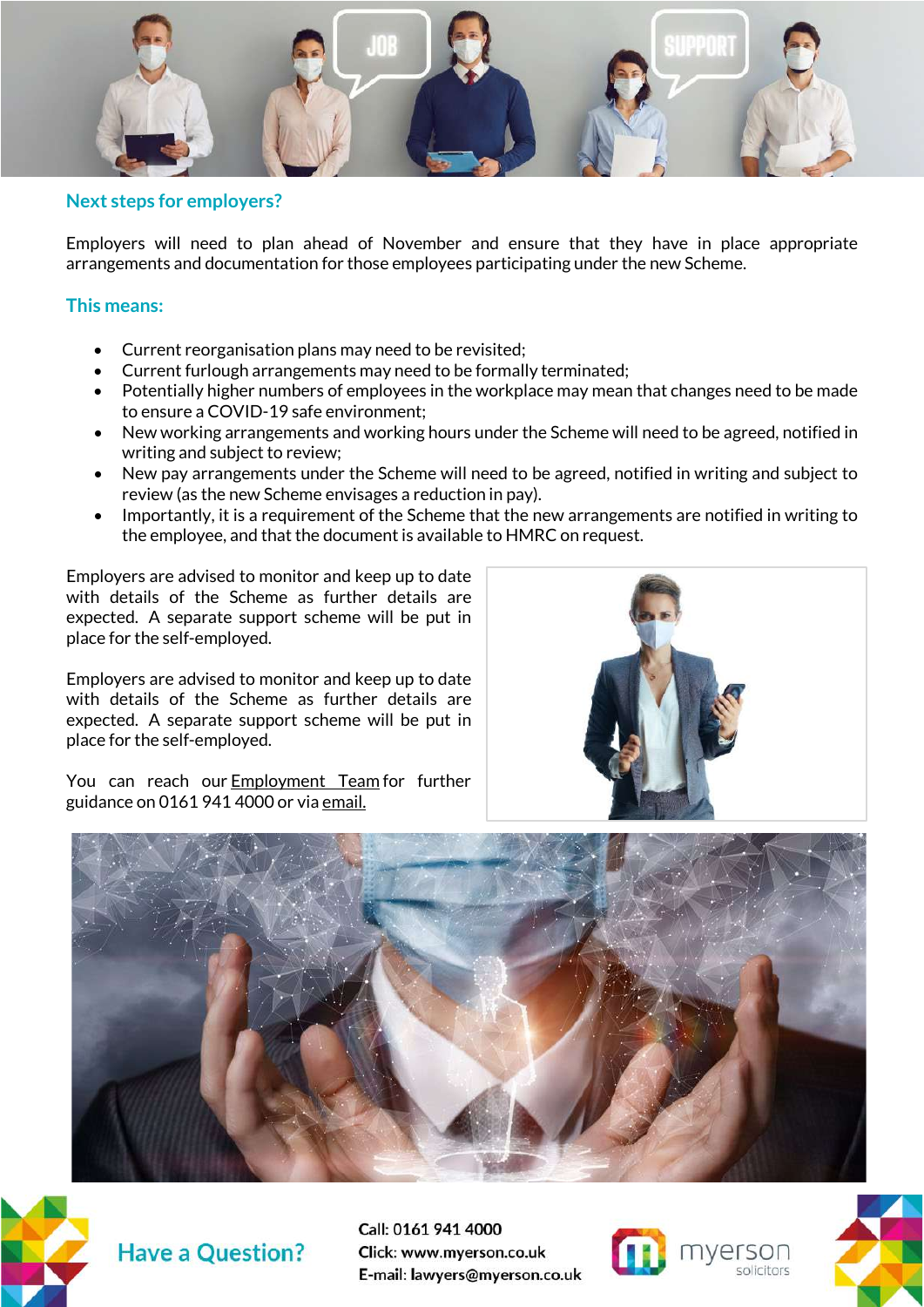

#### **Next steps for employers?**

Employers will need to plan ahead of November and ensure that they have in place appropriate arrangements and documentation for those employees participating under the new Scheme.

#### **This means:**

- Current reorganisation plans may need to be revisited;
- Current furlough arrangements may need to be formally terminated;
- Potentially higher numbers of employees in the workplace may mean that changes need to be made to ensure a COVID-19 safe environment;
- New working arrangements and working hours under the Scheme will need to be agreed, notified in writing and subject to review;
- New pay arrangements under the Scheme will need to be agreed, notified in writing and subject to review (as the new Scheme envisages a reduction in pay).
- Importantly, it is a requirement of the Scheme that the new arrangements are notified in writing to the employee, and that the document is available to HMRC on request.

Employers are advised to monitor and keep up to date with details of the Scheme as further details are expected. A separate support scheme will be put in place for the self-employed.

Employers are advised to monitor and keep up to date with details of the Scheme as further details are expected. A separate support scheme will be put in place for the self-employed.

You can reach our **[Employment Team](https://www.myerson.co.uk/business/employment)** for further guidance on 0161 941 4000 or via [email.](mailto:lawyers@myerson.co.uk)







**Have a Question?** 

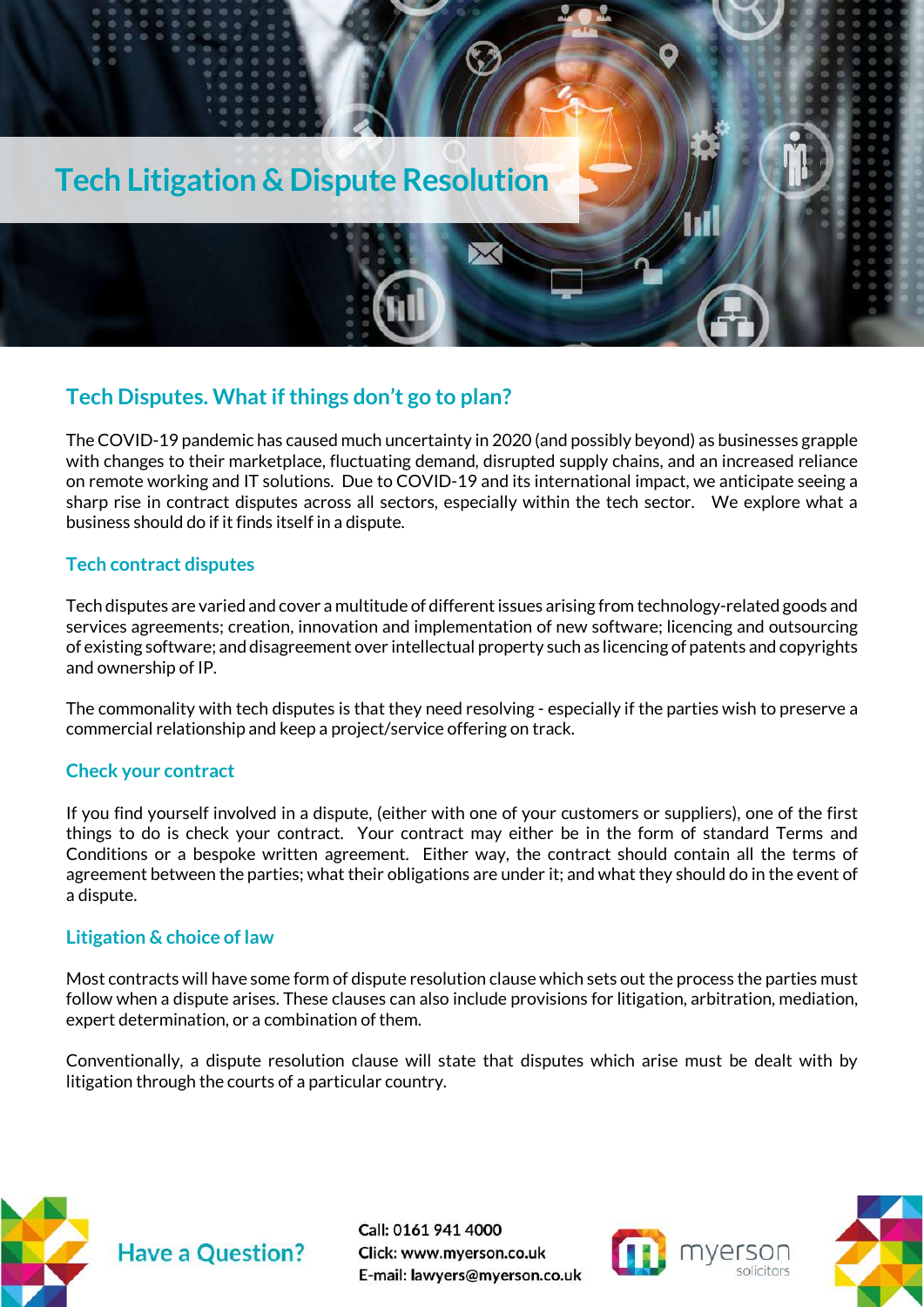

#### <span id="page-12-0"></span>**Tech Disputes. What if things don't go to plan?**

The COVID-19 pandemic has caused much uncertainty in 2020 (and possibly beyond) as businesses grapple with changes to their marketplace, fluctuating demand, disrupted supply chains, and an increased reliance on remote working and IT solutions. Due to COVID-19 and its international impact, we anticipate seeing a sharp rise in contract disputes across all sectors, especially within the tech sector. We explore what a business should do if it finds itself in a dispute.

#### **Tech contract disputes**

Tech disputes are varied and cover a multitude of different issues arising from technology-related goods and services agreements; creation, innovation and implementation of new software; licencing and outsourcing of existing software; and disagreement over intellectual property such as licencing of patents and copyrights and ownership of IP.

The commonality with tech disputes is that they need resolving - especially if the parties wish to preserve a commercial relationship and keep a project/service offering on track.

#### **Check your contract**

If you find yourself involved in a dispute, (either with one of your customers or suppliers), one of the first things to do is check your contract. Your contract may either be in the form of standard Terms and Conditions or a bespoke written agreement. Either way, the contract should contain all the terms of agreement between the parties; what their obligations are under it; and what they should do in the event of a dispute.

#### **Litigation & choice of law**

Most contracts will have some form of dispute resolution clause which sets out the process the parties must follow when a dispute arises. These clauses can also include provisions for litigation, arbitration, mediation, expert determination, or a combination of them.

Conventionally, a dispute resolution clause will state that disputes which arise must be dealt with by litigation through the courts of a particular country.





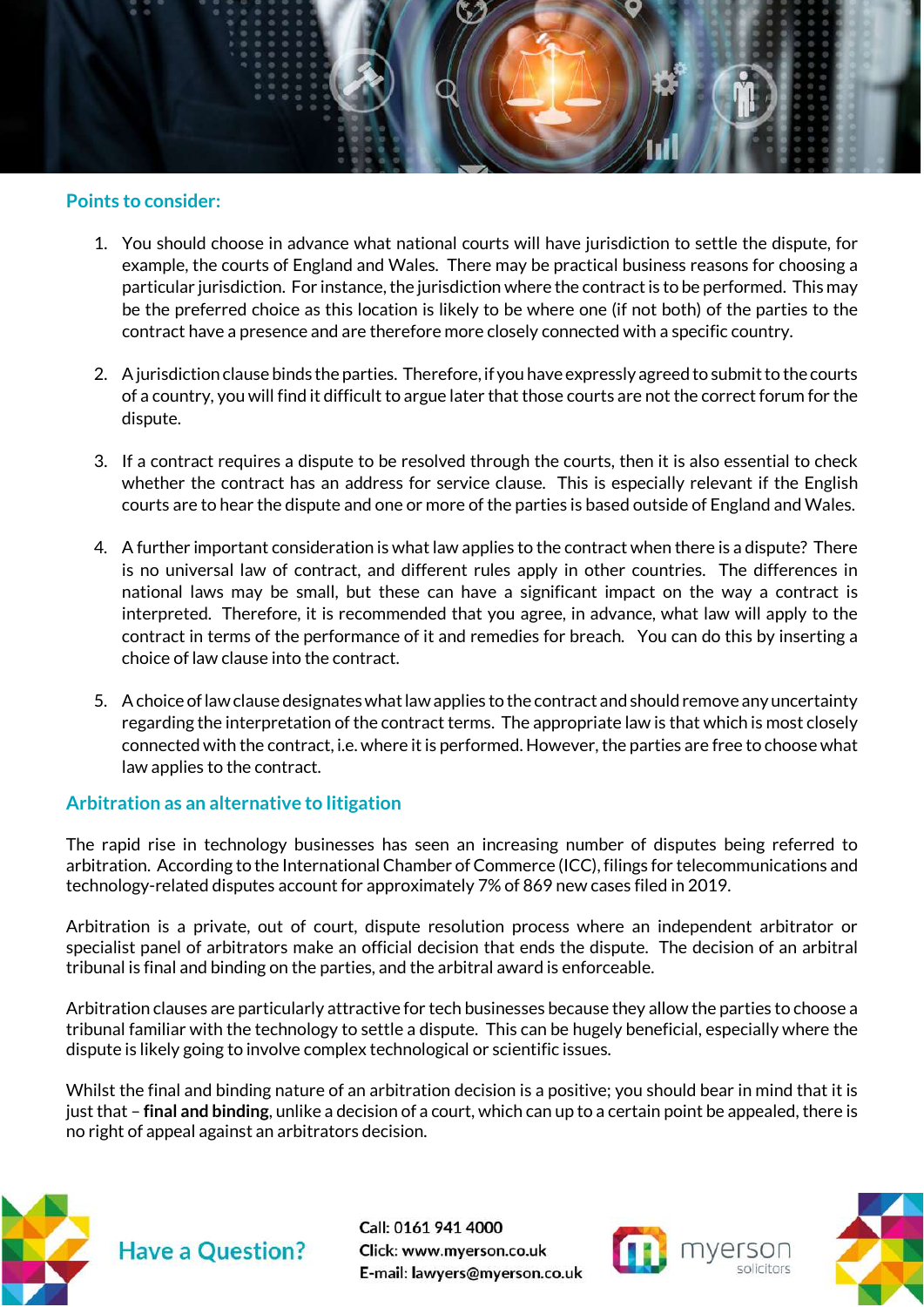

#### **Points to consider:**

- 1. You should choose in advance what national courts will have jurisdiction to settle the dispute, for example, the courts of England and Wales. There may be practical business reasons for choosing a particular jurisdiction. For instance, the jurisdiction where the contract is to be performed. This may be the preferred choice as this location is likely to be where one (if not both) of the parties to the contract have a presence and are therefore more closely connected with a specific country.
- 2. A jurisdiction clause binds the parties. Therefore, if you have expressly agreed to submit to the courts of a country, you will find it difficult to argue later that those courts are not the correct forum for the dispute.
- 3. If a contract requires a dispute to be resolved through the courts, then it is also essential to check whether the contract has an address for service clause. This is especially relevant if the English courts are to hear the dispute and one or more of the parties is based outside of England and Wales.
- 4. A further important consideration is what law applies to the contract when there is a dispute? There is no universal law of contract, and different rules apply in other countries. The differences in national laws may be small, but these can have a significant impact on the way a contract is interpreted. Therefore, it is recommended that you agree, in advance, what law will apply to the contract in terms of the performance of it and remedies for breach. You can do this by inserting a choice of law clause into the contract.
- 5. A choice of law clause designates what law applies to the contract and should remove any uncertainty regarding the interpretation of the contract terms. The appropriate law is that which is most closely connected with the contract, i.e. where it is performed. However, the parties are free to choose what law applies to the contract.

#### **Arbitration as an alternative to litigation**

The rapid rise in technology businesses has seen an increasing number of disputes being referred to arbitration. According to the International Chamber of Commerce (ICC), filings for telecommunications and technology-related disputes account for approximately 7% of 869 new cases filed in 2019.

Arbitration is a private, out of court, dispute resolution process where an independent arbitrator or specialist panel of arbitrators make an official decision that ends the dispute. The decision of an arbitral tribunal is final and binding on the parties, and the arbitral award is enforceable.

Arbitration clauses are particularly attractive for tech businesses because they allow the parties to choose a tribunal familiar with the technology to settle a dispute. This can be hugely beneficial, especially where the dispute is likely going to involve complex technological or scientific issues.

Whilst the final and binding nature of an arbitration decision is a positive; you should bear in mind that it is just that – **final and binding**, unlike a decision of a court, which can up to a certain point be appealed, there is no right of appeal against an arbitrators decision.





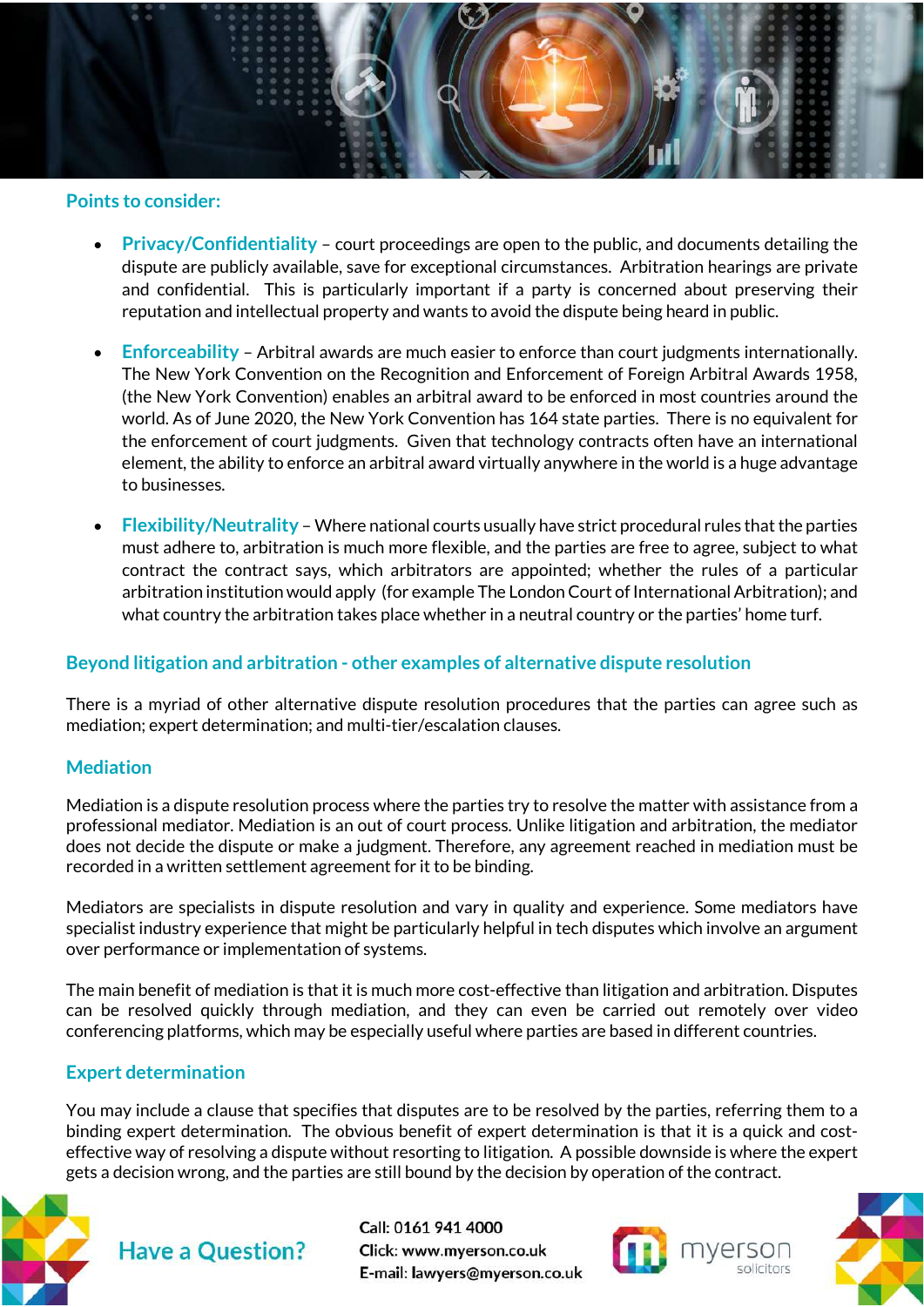

#### **Points to consider:**

- **Privacy/Confidentiality** court proceedings are open to the public, and documents detailing the dispute are publicly available, save for exceptional circumstances. Arbitration hearings are private and confidential. This is particularly important if a party is concerned about preserving their reputation and intellectual property and wants to avoid the dispute being heard in public.
- **Enforceability**  Arbitral awards are much easier to enforce than court judgments internationally. The New York Convention on the Recognition and Enforcement of Foreign Arbitral Awards 1958, (the New York Convention) enables an arbitral award to be enforced in most countries around the world. As of June 2020, the New York Convention has 164 state parties. There is no equivalent for the enforcement of court judgments. Given that technology contracts often have an international element, the ability to enforce an arbitral award virtually anywhere in the world is a huge advantage to businesses.
- **Flexibility/Neutrality**  Where national courts usually have strict procedural rules that the parties must adhere to, arbitration is much more flexible, and the parties are free to agree, subject to what contract the contract says, which arbitrators are appointed; whether the rules of a particular arbitration institution would apply (for example The London Court of International Arbitration); and what country the arbitration takes place whether in a neutral country or the parties' home turf.

#### **Beyond litigation and arbitration - other examples of alternative dispute resolution**

There is a myriad of other alternative dispute resolution procedures that the parties can agree such as mediation; expert determination; and multi-tier/escalation clauses.

#### **Mediation**

Mediation is a dispute resolution process where the parties try to resolve the matter with assistance from a professional mediator. Mediation is an out of court process. Unlike litigation and arbitration, the mediator does not decide the dispute or make a judgment. Therefore, any agreement reached in mediation must be recorded in a written settlement agreement for it to be binding.

Mediators are specialists in dispute resolution and vary in quality and experience. Some mediators have specialist industry experience that might be particularly helpful in tech disputes which involve an argument over performance or implementation of systems.

The main benefit of mediation is that it is much more cost-effective than litigation and arbitration. Disputes can be resolved quickly through mediation, and they can even be carried out remotely over video conferencing platforms, which may be especially useful where parties are based in different countries.

#### **Expert determination**

You may include a clause that specifies that disputes are to be resolved by the parties, referring them to a binding expert determination. The obvious benefit of expert determination is that it is a quick and costeffective way of resolving a dispute without resorting to litigation. A possible downside is where the expert gets a decision wrong, and the parties are still bound by the decision by operation of the contract.





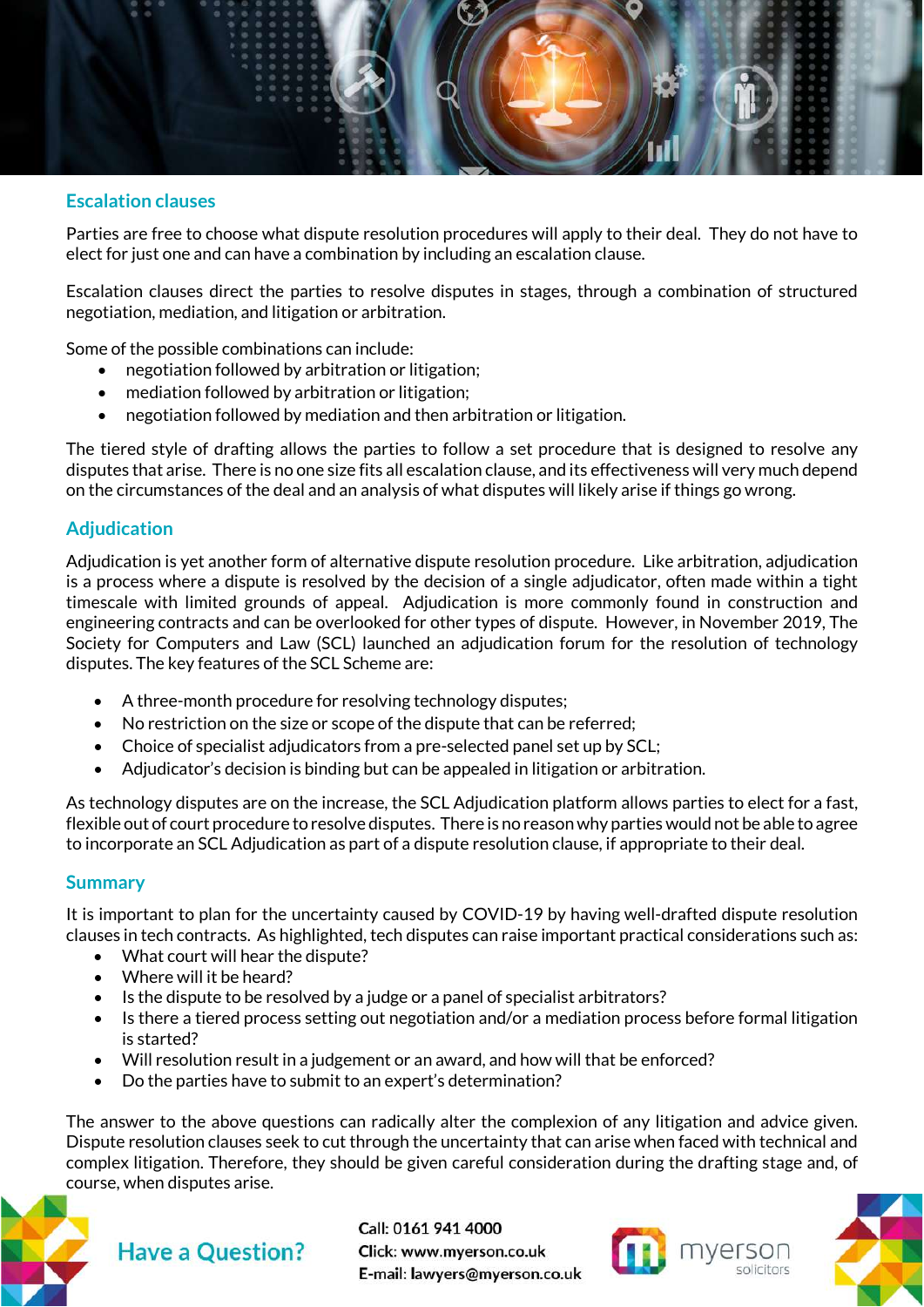

#### **Escalation clauses**

Parties are free to choose what dispute resolution procedures will apply to their deal. They do not have to elect for just one and can have a combination by including an escalation clause.

Escalation clauses direct the parties to resolve disputes in stages, through a combination of structured negotiation, mediation, and litigation or arbitration.

Some of the possible combinations can include:

- negotiation followed by arbitration or litigation;
- mediation followed by arbitration or litigation;
- negotiation followed by mediation and then arbitration or litigation.

The tiered style of drafting allows the parties to follow a set procedure that is designed to resolve any disputes that arise. There is no one size fits all escalation clause, and its effectiveness will very much depend on the circumstances of the deal and an analysis of what disputes will likely arise if things go wrong.

#### **Adjudication**

Adjudication is yet another form of alternative dispute resolution procedure. Like arbitration, adjudication is a process where a dispute is resolved by the decision of a single adjudicator, often made within a tight timescale with limited grounds of appeal. Adjudication is more commonly found in construction and engineering contracts and can be overlooked for other types of dispute. However, in November 2019, The Society for Computers and Law (SCL) launched an adjudication forum for the resolution of technology disputes. The key features of the SCL Scheme are:

- A three-month procedure for resolving technology disputes;
- No restriction on the size or scope of the dispute that can be referred;
- Choice of specialist adjudicators from a pre-selected panel set up by SCL;
- Adjudicator's decision is binding but can be appealed in litigation or arbitration.

As technology disputes are on the increase, the SCL Adjudication platform allows parties to elect for a fast, flexible out of court procedure to resolve disputes. There is no reason why parties would not be able to agree to incorporate an SCL Adjudication as part of a dispute resolution clause, if appropriate to their deal.

#### **Summary**

It is important to plan for the uncertainty caused by COVID-19 by having well-drafted dispute resolution clauses in tech contracts. As highlighted, tech disputes can raise important practical considerations such as:

- What court will hear the dispute?
- Where will it be heard?
- Is the dispute to be resolved by a judge or a panel of specialist arbitrators?
- Is there a tiered process setting out negotiation and/or a mediation process before formal litigation is started?
- Will resolution result in a judgement or an award, and how will that be enforced?
- Do the parties have to submit to an expert's determination?

The answer to the above questions can radically alter the complexion of any litigation and advice given. Dispute resolution clauses seek to cut through the uncertainty that can arise when faced with technical and complex litigation. Therefore, they should be given careful consideration during the drafting stage and, of course, when disputes arise.



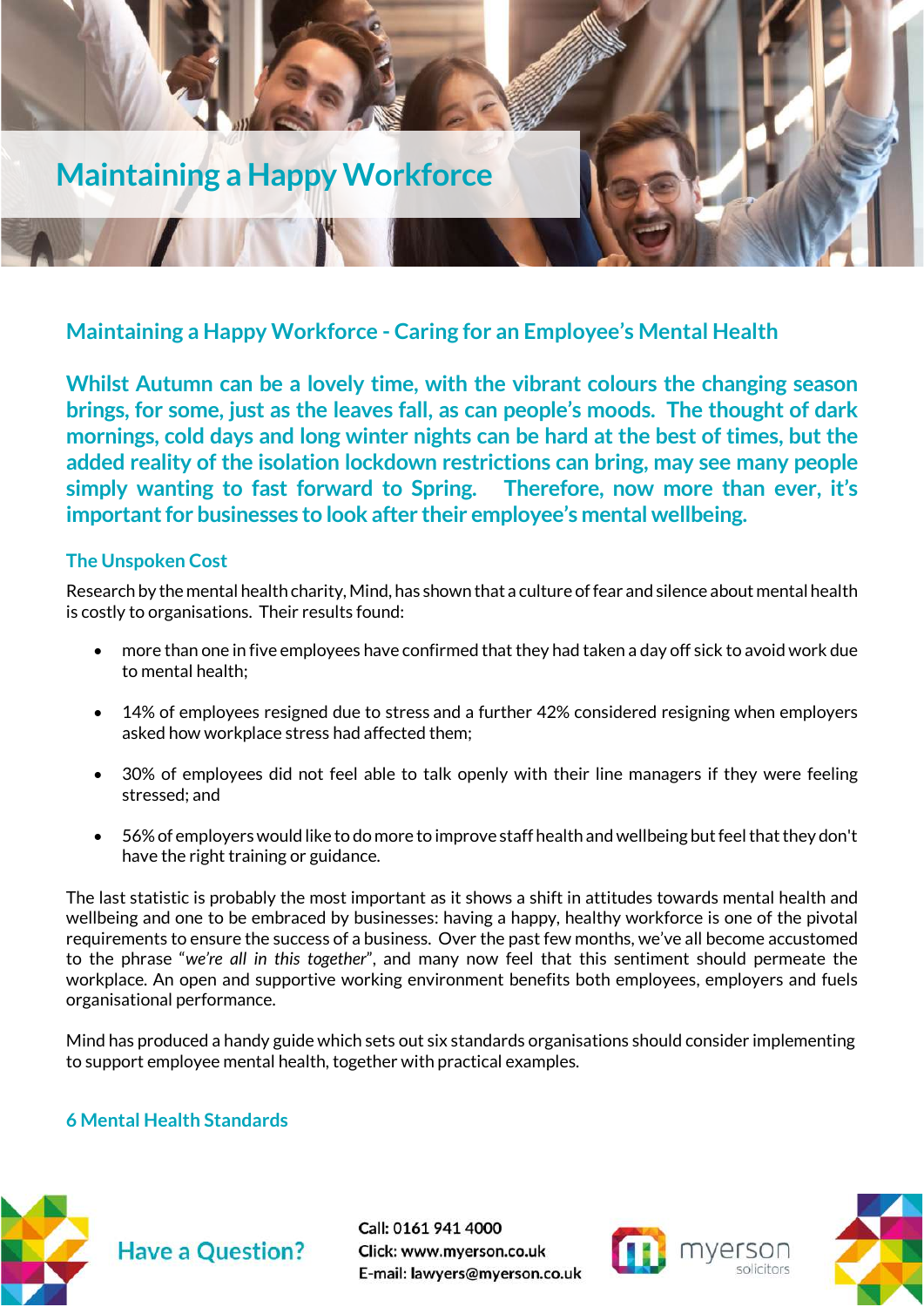

<span id="page-16-0"></span>**Maintaining a Happy Workforce - Caring for an Employee's Mental Health**

**Whilst Autumn can be a lovely time, with the vibrant colours the changing season brings, for some, just as the leaves fall, as can people's moods. The thought of dark mornings, cold days and long winter nights can be hard at the best of times, but the added reality of the isolation lockdown restrictions can bring, may see many people simply wanting to fast forward to Spring. Therefore, now more than ever, it's important for businesses to look after their employee's mental wellbeing.** 

#### **The Unspoken Cost**

Research by the mental health charity, Mind, has shown that a culture of fear and silence about mental health is costly to organisations. Their results found:

- more than one in five employees have confirmed that they had taken a day off sick to avoid work due to mental health;
- 14% of employees resigned due to stress and a further 42% considered resigning when employers asked how workplace stress had affected them;
- 30% of employees did not feel able to talk openly with their line managers if they were feeling stressed; and
- 56% of employers would like to do more to improve staff health and wellbeing but feel that they don't have the right training or guidance.

The last statistic is probably the most important as it shows a shift in attitudes towards mental health and wellbeing and one to be embraced by businesses: having a happy, healthy workforce is one of the pivotal requirements to ensure the success of a business. Over the past few months, we've all become accustomed to the phrase "*we're all in this together*", and many now feel that this sentiment should permeate the workplace. An open and supportive working environment benefits both employees, employers and fuels organisational performance.

Mind has produced a handy guide which sets out six standards organisations should consider implementing to support employee mental health, together with practical examples.

#### **6 Mental Health Standards**





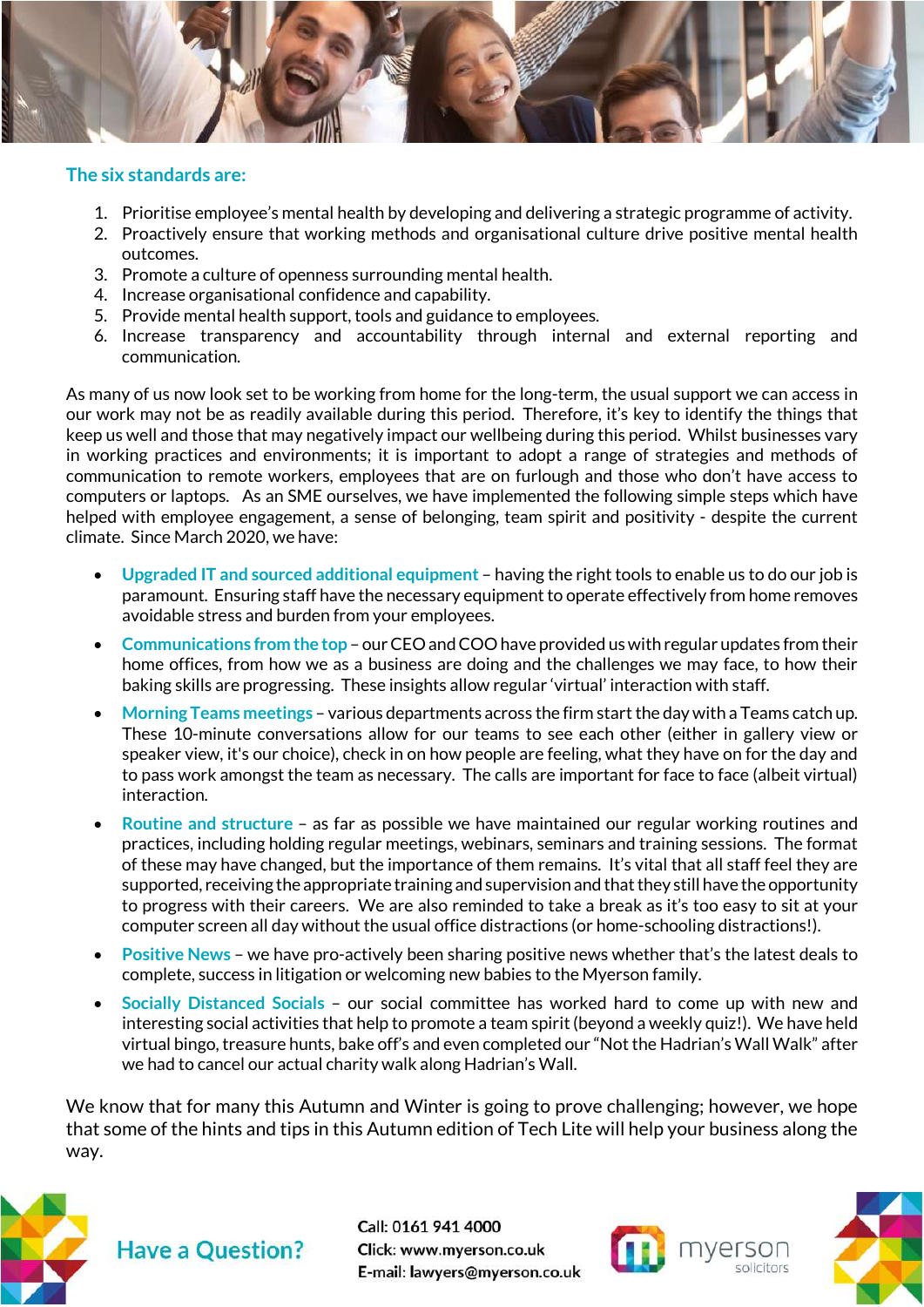

#### **The six standards are:**

- 1. Prioritise employee's mental health by developing and delivering a strategic programme of activity.
- 2. Proactively ensure that working methods and organisational culture drive positive mental health outcomes.
- 3. Promote a culture of openness surrounding mental health.
- 4. Increase organisational confidence and capability.
- 5. Provide mental health support, tools and guidance to employees.
- 6. Increase transparency and accountability through internal and external reporting and communication.

As many of us now look set to be working from home for the long-term, the usual support we can access in our work may not be as readily available during this period. Therefore, it's key to identify the things that keep us well and those that may negatively impact our wellbeing during this period. Whilst businesses vary in working practices and environments; it is important to adopt a range of strategies and methods of communication to remote workers, employees that are on furlough and those who don't have access to computers or laptops. As an SME ourselves, we have implemented the following simple steps which have helped with employee engagement, a sense of belonging, team spirit and positivity - despite the current climate. Since March 2020, we have:

- **Upgraded IT and sourced additional equipment** having the right tools to enable us to do our job is paramount. Ensuring staff have the necessary equipment to operate effectively from home removes avoidable stress and burden from your employees.
- **Communications from the top** our CEO and COO have provided us with regular updates from their home offices, from how we as a business are doing and the challenges we may face, to how their baking skills are progressing. These insights allow regular 'virtual' interaction with staff.
- **Morning Teams meetings** various departments across the firm start the day with a Teams catch up. These 10-minute conversations allow for our teams to see each other (either in gallery view or speaker view, it's our choice), check in on how people are feeling, what they have on for the day and to pass work amongst the team as necessary. The calls are important for face to face (albeit virtual) interaction.
- **Routine and structure** as far as possible we have maintained our regular working routines and practices, including holding regular meetings, webinars, seminars and training sessions. The format of these may have changed, but the importance of them remains. It's vital that all staff feel they are supported, receiving the appropriate training and supervision and that they still have the opportunity to progress with their careers. We are also reminded to take a break as it's too easy to sit at your computer screen all day without the usual office distractions (or home-schooling distractions!).
- **Positive News** we have pro-actively been sharing positive news whether that's the latest deals to complete, success in litigation or welcoming new babies to the Myerson family.
- **Socially Distanced Socials** our social committee has worked hard to come up with new and interesting social activities that help to promote a team spirit(beyond a weekly quiz!). We have held virtual bingo, treasure hunts, bake off's and even completed our "Not the Hadrian's Wall Walk" after we had to cancel our actual charity walk along Hadrian's Wall.

We know that for many this Autumn and Winter is going to prove challenging; however, we hope that some of the hints and tips in this Autumn edition of Tech Lite will help your business along the way.